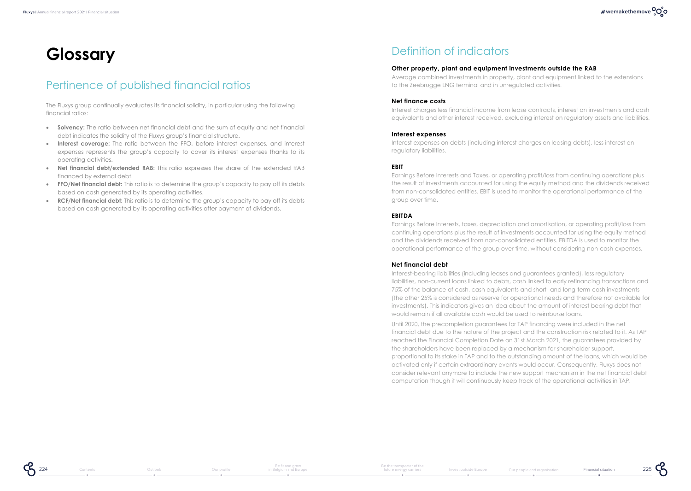# **Glossary**

## Pertinence of published financial ratios

The Fluxys group continually evaluates its financial solidity, in particular using the following financial ratios:

- **Solvency:** The ratio between net financial debt and the sum of equity and net financial debt indicates the solidity of the Fluxys group's financial structure.
- **Interest coverage:** The ratio between the FFO, before interest expenses, and interest expenses represents the group's capacity to cover its interest expenses thanks to its operating activities.
- **Net financial debt/extended RAB:** This ratio expresses the share of the extended RAB financed by external debt.
- **FFO/Net financial debt:** This ratio is to determine the group's capacity to pay off its debts based on cash generated by its operating activities.
- **RCF/Net financial debt:** This ratio is to determine the group's capacity to pay off its debts based on cash generated by its operating activities after payment of dividends.

[Outlook](#page--1-0) [Our profile](#page--1-0)

## Definition of indicators

#### **Other property, plant and equipment investments outside the RAB**

Average combined investments in property, plant and equipment linked to the extensions to the Zeebrugge LNG terminal and in unregulated activities.

#### **Net finance costs**

Interest charges less financial income from lease contracts, interest on investments and cash equivalents and other interest received, excluding interest on regulatory assets and liabilities.

#### **Interest expenses**

Interest expenses on debts (including interest charges on leasing debts), less interest on regulatory liabilities.

#### **EBIT**

Earnings Before Interests and Taxes, or operating profit/loss from continuing operations plus the result of investments accounted for using the equity method and the dividends received from non-consolidated entities. EBIT is used to monitor the operational performance of the group over time.

#### **EBITDA**

Earnings Before Interests, taxes, depreciation and amortisation, or operating profit/loss from continuing operations plus the result of investments accounted for using the equity method and the dividends received from non-consolidated entities. EBITDA is used to monitor the operational performance of the group over time, without considering non-cash expenses.

#### **Net financial debt**

Interest-bearing liabilities (including leases and guarantees granted), less regulatory liabilities, non-current loans linked to debts, cash linked to early refinancing transactions and 75% of the balance of cash, cash equivalents and short- and long-term cash investments (the other 25% is considered as reserve for operational needs and therefore not available for investments). This indicators gives an idea about the amount of interest bearing debt that would remain if all available cash would be used to reimburse loans.

Until 2020, the precompletion guarantees for TAP financing were included in the net financial debt due to the nature of the project and the construction risk related to it. As TAP reached the Financial Completion Date on 31st March 2021, the guarantees provided by the shareholders have been replaced by a mechanism for shareholder support, proportional to its stake in TAP and to the outstanding amount of the loans, which would be activated only if certain extraordinary events would occur. Consequently, Fluxys does not consider relevant anymore to include the new support mechanism in the net financial debt computation though it will continuously keep track of the operational activities in TAP.

225

225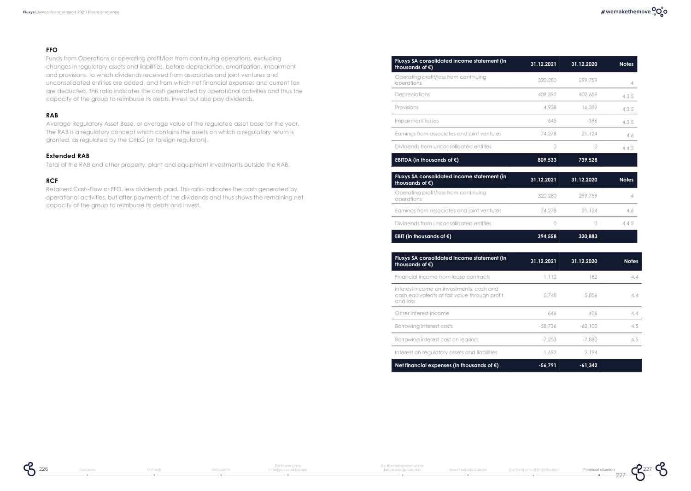### **# wemakethemove**

#### **FFO**

Funds from Operations or operating profit/loss from continuing operations, excluding changes in regulatory assets and liabilities, before depreciation, amortization, impairment and provisions, to which dividends received from associates and joint ventures and unconsolidated entities are added, and from which net financial expenses and current tax are deducted. This ratio indicates the cash generated by operational activities and thus the capacity of the group to reimburse its debts, invest but also pay dividends.

#### **RAB**

Average Regulatory Asset Base, or average value of the regulated asset base for the year. The RAB is a regulatory concept which contains the assets on which a regulatory return is granted, as regulated by the CREG (or foreign regulators).

#### **Extended RAB**

Total of the RAB and other property, plant and equipment investments outside the RAB.

#### **RCF**

Retained Cash-Flow or FFO, less dividends paid. This ratio indicates the cash generated by operational activities, but after payments of the dividends and thus shows the remaining net capacity of the group to reimburse its debts and invest.

| Fluxys SA consolidated income statement (in<br>thousands of $\epsilon$ ) | 31.12.2021 | 31.12.2020       | <b>Notes</b> |
|--------------------------------------------------------------------------|------------|------------------|--------------|
| Operating profit/loss from continuing<br>operations                      | 320,280    | 299.759          | 4            |
| Depreciations                                                            | 409,392    | 402.659          | 4.3.5        |
| Provisions                                                               | 4.938      | 16,382           | 4.3.5        |
| Impairment losses                                                        | 645        | $-396$           | 4.3.5        |
| Earnings from associates and joint ventures                              | 74,278     | 21,124           | 4.6          |
| Dividends from unconsolidated entities                                   | 0          | Ω                | 4.4.2        |
| EBITDA (in thousands of $\epsilon$ )                                     | 809,533    | 739,528          |              |
| Fluxys SA consolidated income statement (in<br>thousands of $\epsilon$ ) | 31.12.2021 | 31.12.2020       | <b>Notes</b> |
| Operating profit/loss from continuing<br>operations                      | 320,280    | 299.759          | 4            |
| Earnings from associates and joint ventures                              | 74,278     | 21.124           | 4.6          |
| Dividends from unconsolidated entities                                   | 0          | $\left( \right)$ | 4.4.2        |
| EBIT (in thousands of $\epsilon$ )                                       | 394.558    | 320.883          |              |

| Fluxys SA consolidated income statement (in<br>thousands of $\epsilon$ )                              | 31.12.2021 | 31.12.2020 | <b>Notes</b>  |
|-------------------------------------------------------------------------------------------------------|------------|------------|---------------|
| Financial income from lease contracts                                                                 | 1.112      | 182        | 4.4           |
| Interest income on investments, cash and<br>cash equivalents at fair value through profit<br>and loss | 5,748      | 5,856      | 4.4           |
| Other interest income                                                                                 | 646        | 406        | 4.4           |
| Borrowing interest costs                                                                              | -58,736    | $-62.100$  | $4.5^{\circ}$ |
| Borrowing interest cost on leasing                                                                    | $-7.253$   | -7.880     | 4.5           |
| Interest on regulatory assets and liabilities                                                         | 1.692      | 2.194      |               |
| Net financial expenses (in thousands of $\epsilon$ )                                                  | $-56.791$  | $-61.342$  |               |

 $55226$ 



227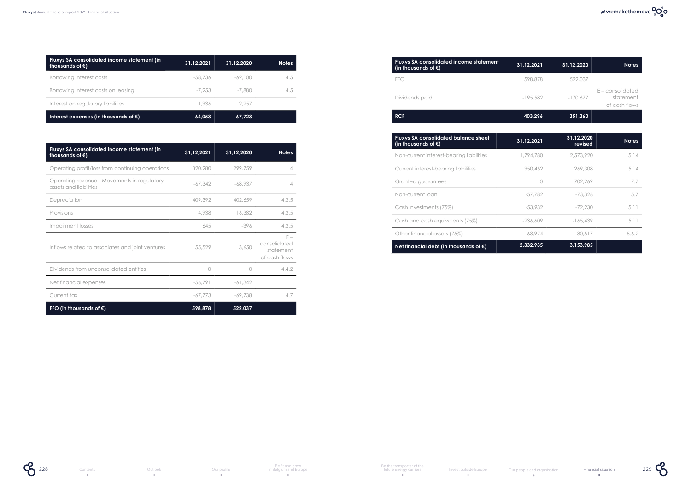| Fluxys SA consolidated income statement (in<br>thousands of $\epsilon$ ) | 31.12.2021 | 31.12.2020 | <b>Notes</b> |
|--------------------------------------------------------------------------|------------|------------|--------------|
| Borrowing interest costs                                                 | -58.736    | $-62.100$  | 4.5          |
| Borrowing interest costs on leasing                                      | -7.253     | -7.880     | 4.5          |
| Interest on regulatory liabilities                                       | 1.936      | 2.257      |              |
| Interest expenses (in thousands of $\epsilon$ )                          | $-64.053$  | $-67.723$  |              |

| Fluxys SA consolidated income statement (in<br>thousands of $\epsilon$ ) | 31,12,2021 | 31,12,2020 | <b>Notes</b>                                        |
|--------------------------------------------------------------------------|------------|------------|-----------------------------------------------------|
| Operating profit/loss from continuing operations                         | 320,280    | 299.759    | 4                                                   |
| Operating revenue - Movements in regulatory<br>assets and liabilities    | $-67,342$  | $-68.937$  | 4                                                   |
| Depreciation                                                             | 409,392    | 402,659    | 4.3.5                                               |
| Provisions                                                               | 4,938      | 16,382     | 4.3.5                                               |
| Impairment losses                                                        | 645        | $-396$     | 4.3.5                                               |
| Inflows related to associates and joint ventures                         | 55,529     | 3,650      | $F =$<br>consolidated<br>statement<br>of cash flows |
| Dividends from unconsolidated entities                                   | 0          | $\bigcap$  | 4.4.2                                               |
| Net financial expenses                                                   | $-56.791$  | $-61,342$  |                                                     |
| Current tax                                                              | $-67.773$  | $-69.738$  | 4.7                                                 |
| FFO (in thousands of $\epsilon$ )                                        | 598,878    | 522,037    |                                                     |

| <b>Fluxys SA consolidated income statement</b><br>(in thousands of $\epsilon$ ) | 31.12.2021 | 31.12.2020 | <b>Notes</b>                                     |
|---------------------------------------------------------------------------------|------------|------------|--------------------------------------------------|
| <b>FFO</b>                                                                      | 598,878    | 522.037    |                                                  |
| Dividends paid                                                                  | $-195.582$ | $-170.677$ | $E$ – consolidated<br>statement<br>of cash flows |
| <b>RCF</b>                                                                      | 403,296    | 351,360    |                                                  |

| <b>Fluxys SA consolidated balance sheet</b><br>(in thousands of $\epsilon$ ) | 31.12.2021 | 31.12.2020<br>revised | <b>Notes</b> |
|------------------------------------------------------------------------------|------------|-----------------------|--------------|
| Non-current interest-bearing liabilities                                     | 1,794,780  | 2,573,920             | 5.14         |
| Current interest-bearing liabilities                                         | 950,452    | 269,308               | 5.14         |
| Granted guarantees                                                           | 〔 〕        | 702.269               | 7.7          |
| Non-current loan                                                             | $-57.782$  | $-73.326$             | 5.7          |
| Cash investments (75%)                                                       | -53,932    | $-72.230$             | 5.11         |
| Cash and cash equivalents (75%)                                              | $-236.609$ | $-165.439$            | 5.11         |
| Other financial assets (75%)                                                 | $-63.974$  | $-80.517$             | 5.6.2        |
| Net financial debt (in thousands of $\epsilon$ )                             | 2.332.935  | 3,153,985             |              |

 $^{229}$   $\mathcal{C}$